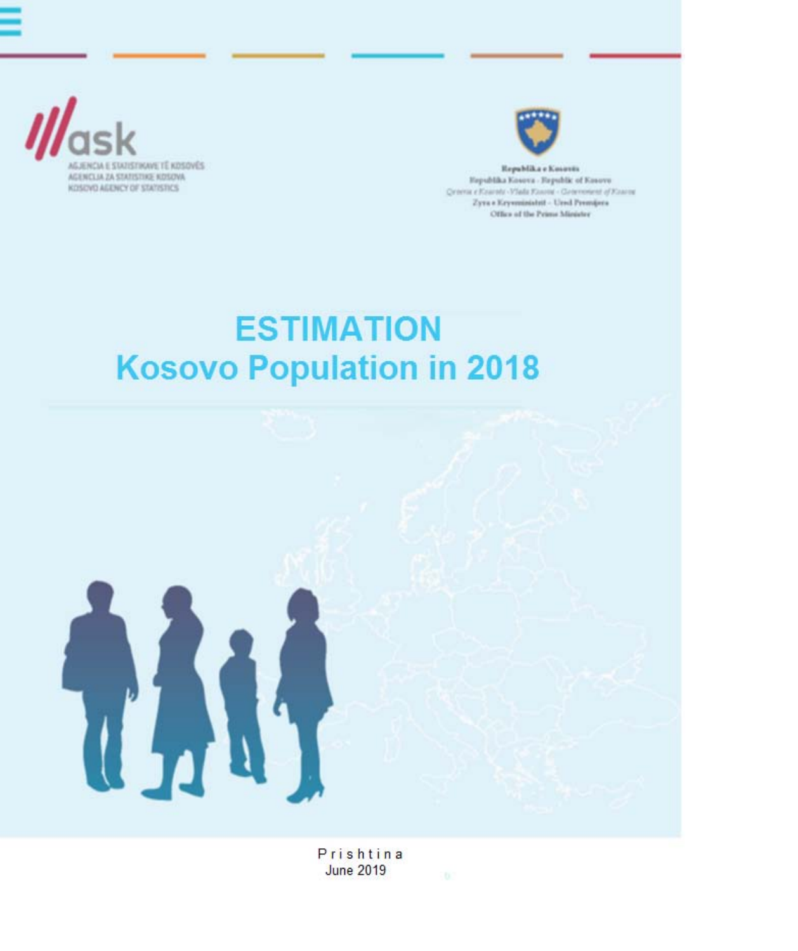



Republika e Kosovës Republika Kosova - Republic of Kosovo Crocca e Kearote-Vlada Fanou - Groevenent of Fanou Zyra a Krymministrit - Ursd Premijera Office of the Prime Minister

# **ESTIMATION Kosovo Population in 2018**



Prishtina **June 2019**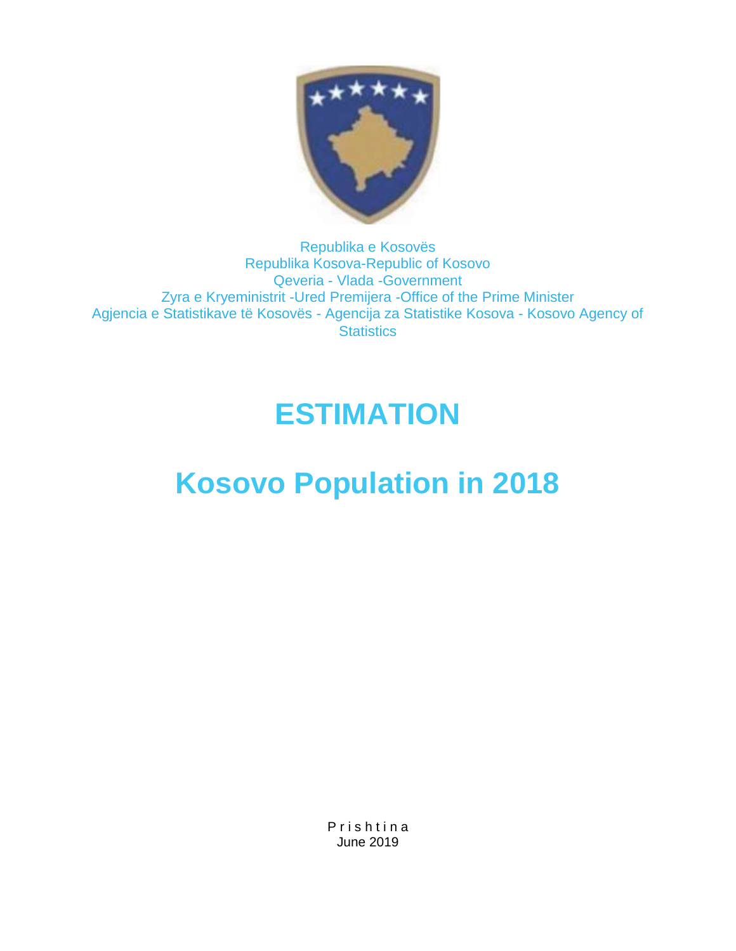

#### Republika e Kosovës Republika Kosova-Republic of Kosovo Qeveria - Vlada -Government Zyra e Kryeministrit -Ured Premijera -Office of the Prime Minister Agjencia e Statistikave të Kosovës - Agencija za Statistike Kosova - Kosovo Agency of **Statistics**

# **ESTIMATION**

# **Kosovo Population in 2018**

P r i s h t i n a June 2019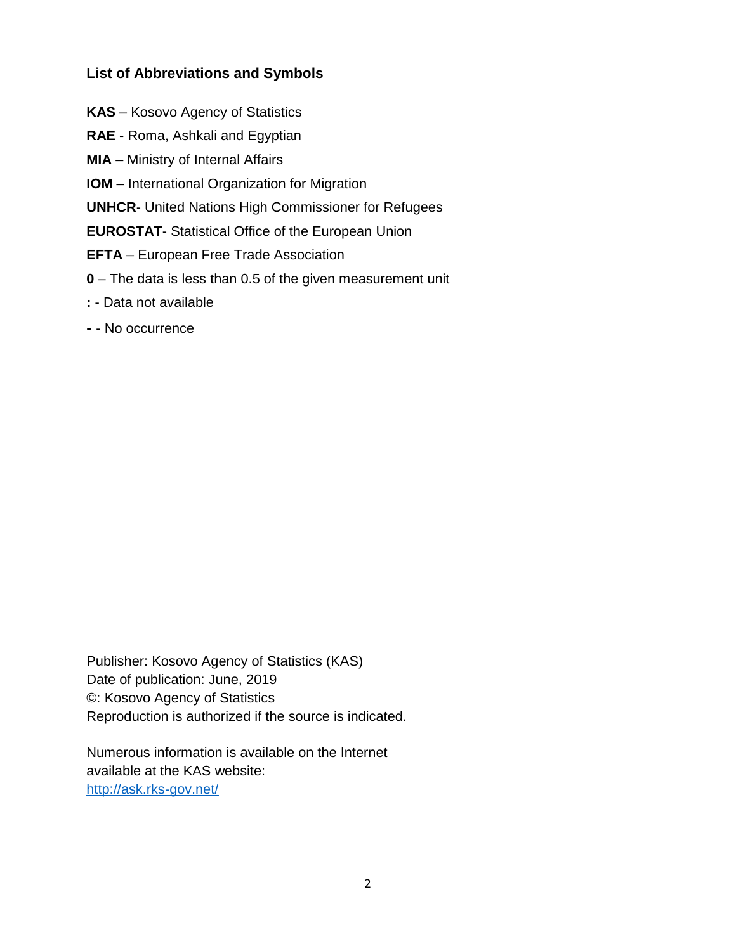#### **List of Abbreviations and Symbols**

- **KAS**  Kosovo Agency of Statistics
- **RAE**  Roma, Ashkali and Egyptian
- **MIA**  Ministry of Internal Affairs
- **IOM**  International Organization for Migration
- **UNHCR** United Nations High Commissioner for Refugees
- **EUROSTAT** Statistical Office of the European Union
- **EFTA**  European Free Trade Association
- **0**  The data is less than 0.5 of the given measurement unit
- **:**  Data not available
- **-** No occurrence

Publisher: Kosovo Agency of Statistics (KAS) Date of publication: June, 2019 ©: Kosovo Agency of Statistics Reproduction is authorized if the source is indicated.

Numerous information is available on the Internet available at the KAS website: <http://ask.rks-gov.net/>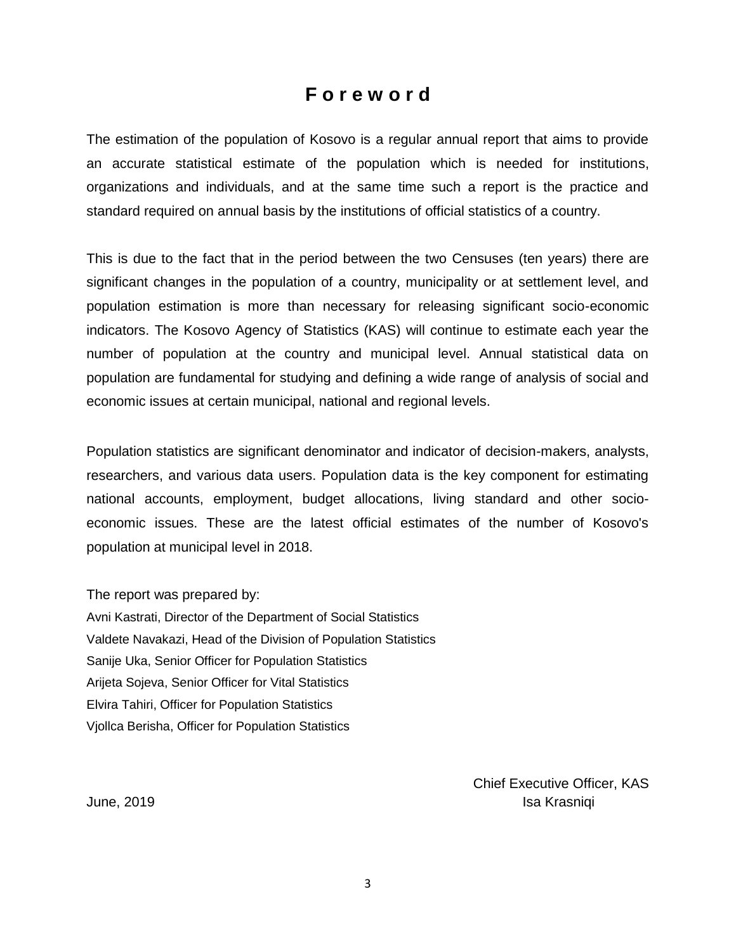### **F o r e w o r d**

The estimation of the population of Kosovo is a regular annual report that aims to provide an accurate statistical estimate of the population which is needed for institutions, organizations and individuals, and at the same time such a report is the practice and standard required on annual basis by the institutions of official statistics of a country.

This is due to the fact that in the period between the two Censuses (ten years) there are significant changes in the population of a country, municipality or at settlement level, and population estimation is more than necessary for releasing significant socio-economic indicators. The Kosovo Agency of Statistics (KAS) will continue to estimate each year the number of population at the country and municipal level. Annual statistical data on population are fundamental for studying and defining a wide range of analysis of social and economic issues at certain municipal, national and regional levels.

Population statistics are significant denominator and indicator of decision-makers, analysts, researchers, and various data users. Population data is the key component for estimating national accounts, employment, budget allocations, living standard and other socioeconomic issues. These are the latest official estimates of the number of Kosovo's population at municipal level in 2018.

The report was prepared by: Avni Kastrati, Director of the Department of Social Statistics Valdete Navakazi, Head of the Division of Population Statistics Sanije Uka, Senior Officer for Population Statistics Arijeta Sojeva, Senior Officer for Vital Statistics Elvira Tahiri, Officer for Population Statistics Vjollca Berisha, Officer for Population Statistics

 Chief Executive Officer, KAS June, 2019 **Islam Accord Accord Accord Accord Accord Accord Accord Accord Accord Accord Accord Accord Accord Accord Accord Accord Accord Accord Accord Accord Accord Accord Accord Accord Accord Accord Accord Accord Accord A**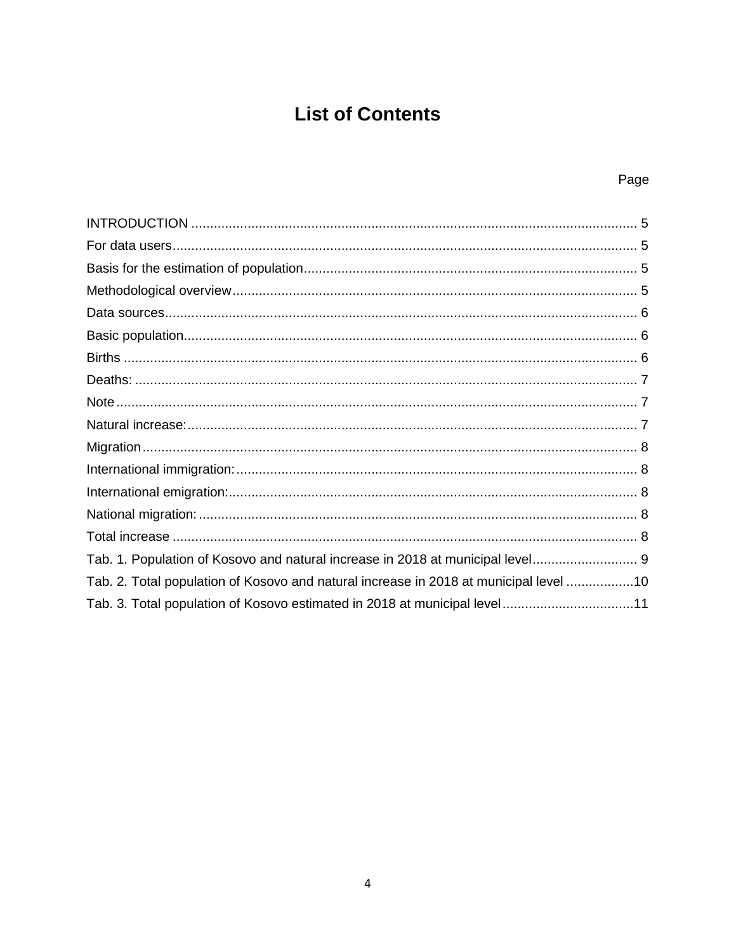## **List of Contents**

#### Page

| Tab. 1. Population of Kosovo and natural increase in 2018 at municipal level 9        |  |
|---------------------------------------------------------------------------------------|--|
| Tab. 2. Total population of Kosovo and natural increase in 2018 at municipal level 10 |  |
| Tab. 3. Total population of Kosovo estimated in 2018 at municipal level11             |  |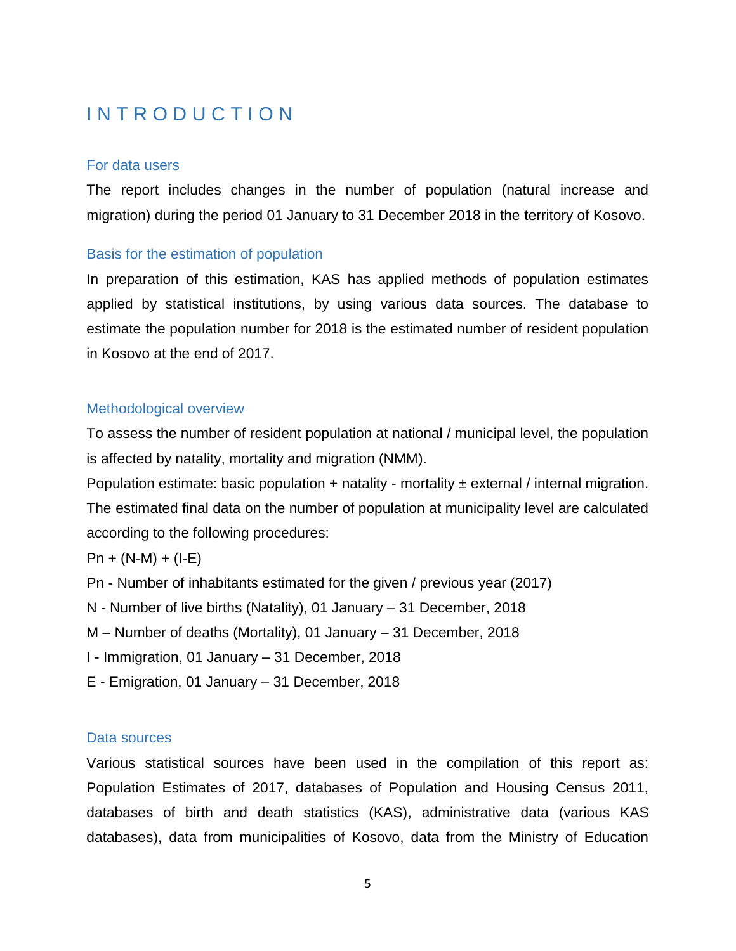## <span id="page-5-0"></span>**INTRODUCTION**

#### For data users

The report includes changes in the number of population (natural increase and migration) during the period 01 January to 31 December 2018 in the territory of Kosovo.

#### Basis for the estimation of population

In preparation of this estimation, KAS has applied methods of population estimates applied by statistical institutions, by using various data sources. The database to estimate the population number for 2018 is the estimated number of resident population in Kosovo at the end of 2017.

#### <span id="page-5-1"></span>Methodological overview

To assess the number of resident population at national / municipal level, the population is affected by natality, mortality and migration (NMM).

Population estimate: basic population  $+$  natality - mortality  $\pm$  external / internal migration. The estimated final data on the number of population at municipality level are calculated according to the following procedures:

 $Pn + (N-M) + (I-E)$ 

Pn - Number of inhabitants estimated for the given / previous year (2017)

N - Number of live births (Natality), 01 January – 31 December, 2018

M – Number of deaths (Mortality), 01 January – 31 December, 2018

I - Immigration, 01 January – 31 December, 2018

E - Emigration, 01 January – 31 December, 2018

#### Data sources

Various statistical sources have been used in the compilation of this report as: Population Estimates of 2017, databases of Population and Housing Census 2011, databases of birth and death statistics (KAS), administrative data (various KAS databases), data from municipalities of Kosovo, data from the Ministry of Education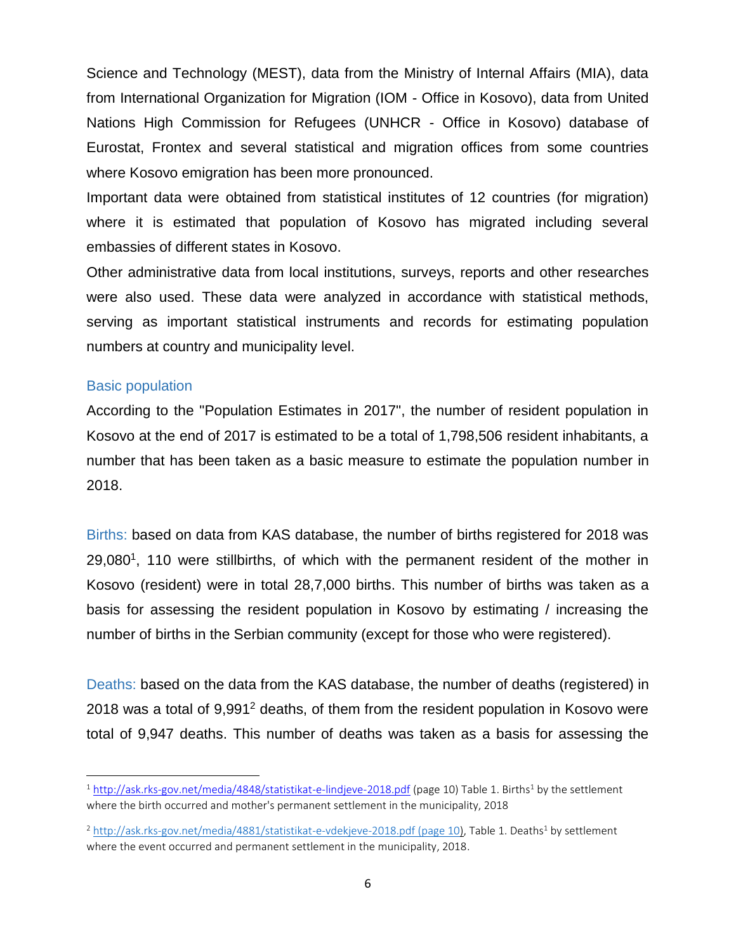Science and Technology (MEST), data from the Ministry of Internal Affairs (MIA), data from International Organization for Migration (IOM - Office in Kosovo), data from United Nations High Commission for Refugees (UNHCR - Office in Kosovo) database of Eurostat, Frontex and several statistical and migration offices from some countries where Kosovo emigration has been more pronounced.

Important data were obtained from statistical institutes of 12 countries (for migration) where it is estimated that population of Kosovo has migrated including several embassies of different states in Kosovo.

Other administrative data from local institutions, surveys, reports and other researches were also used. These data were analyzed in accordance with statistical methods, serving as important statistical instruments and records for estimating population numbers at country and municipality level.

#### Basic population

l

According to the "Population Estimates in 2017", the number of resident population in Kosovo at the end of 2017 is estimated to be a total of 1,798,506 resident inhabitants, a number that has been taken as a basic measure to estimate the population number in 2018.

Births: based on data from KAS database, the number of births registered for 2018 was  $29,080<sup>1</sup>$ , 110 were stillbirths, of which with the permanent resident of the mother in Kosovo (resident) were in total 28,7,000 births. This number of births was taken as a basis for assessing the resident population in Kosovo by estimating / increasing the number of births in the Serbian community (except for those who were registered).

Deaths: based on the data from the KAS database, the number of deaths (registered) in 2018 was a total of  $9.991<sup>2</sup>$  deaths, of them from the resident population in Kosovo were total of 9,947 deaths. This number of deaths was taken as a basis for assessing the

 $1$  <http://ask.rks-gov.net/media/4848/statistikat-e-lindjeve-2018.pdf> (page 10) Table 1. Births<sup>1</sup> by the settlement where the birth occurred and mother's permanent settlement in the municipality, 2018

<sup>&</sup>lt;sup>2</sup> [http://ask.rks-gov.net/media/4881/statistikat-e-vdekjeve-2018.pdf \(page 10\)](http://ask.rks-gov.net/media/4881/statistikat-e-vdekjeve-2018.pdf%20(page%2010), Table 1. Deaths<sup>1</sup> by settlement where the event occurred and permanent settlement in the municipality, 2018.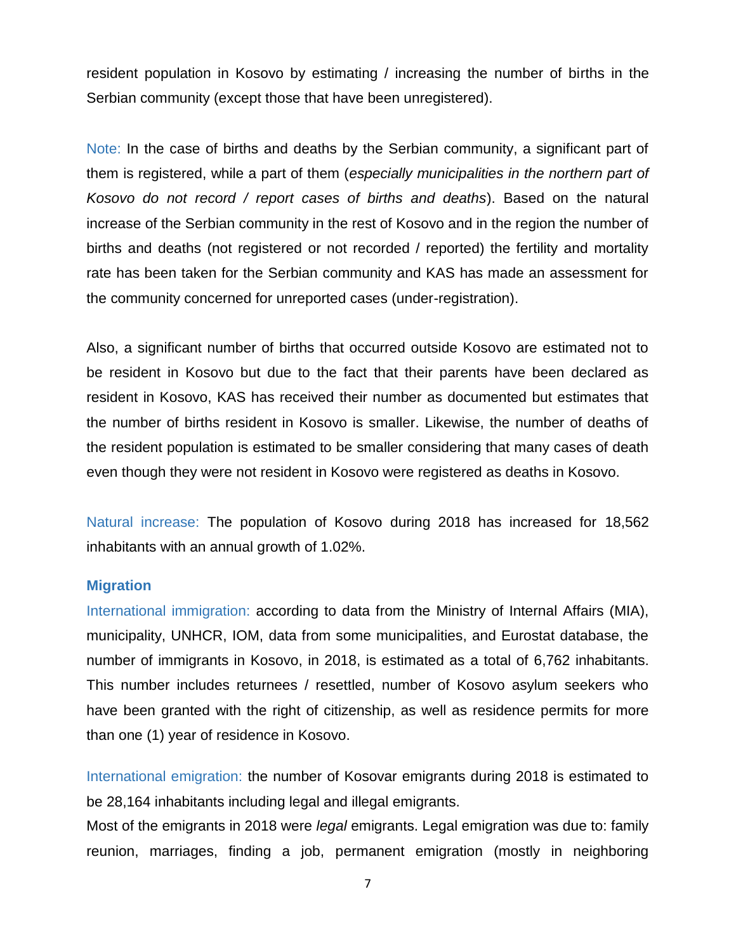resident population in Kosovo by estimating / increasing the number of births in the Serbian community (except those that have been unregistered).

<span id="page-7-0"></span>Note: In the case of births and deaths by the Serbian community, a significant part of them is registered, while a part of them (*especially municipalities in the northern part of Kosovo do not record / report cases of births and deaths*). Based on the natural increase of the Serbian community in the rest of Kosovo and in the region the number of births and deaths (not registered or not recorded / reported) the fertility and mortality rate has been taken for the Serbian community and KAS has made an assessment for the community concerned for unreported cases (under-registration).

Also, a significant number of births that occurred outside Kosovo are estimated not to be resident in Kosovo but due to the fact that their parents have been declared as resident in Kosovo, KAS has received their number as documented but estimates that the number of births resident in Kosovo is smaller. Likewise, the number of deaths of the resident population is estimated to be smaller considering that many cases of death even though they were not resident in Kosovo were registered as deaths in Kosovo.

<span id="page-7-1"></span>Natural increase: The population of Kosovo during 2018 has increased for 18,562 inhabitants with an annual growth of 1.02%.

#### **Migration**

International immigration: according to data from the Ministry of Internal Affairs (MIA), municipality, UNHCR, IOM, data from some municipalities, and Eurostat database, the number of immigrants in Kosovo, in 2018, is estimated as a total of 6,762 inhabitants. This number includes returnees / resettled, number of Kosovo asylum seekers who have been granted with the right of citizenship, as well as residence permits for more than one (1) year of residence in Kosovo.

<span id="page-7-2"></span>International emigration: the number of Kosovar emigrants during 2018 is estimated to be 28,164 inhabitants including legal and illegal emigrants.

Most of the emigrants in 2018 were *legal* emigrants. Legal emigration was due to: family reunion, marriages, finding a job, permanent emigration (mostly in neighboring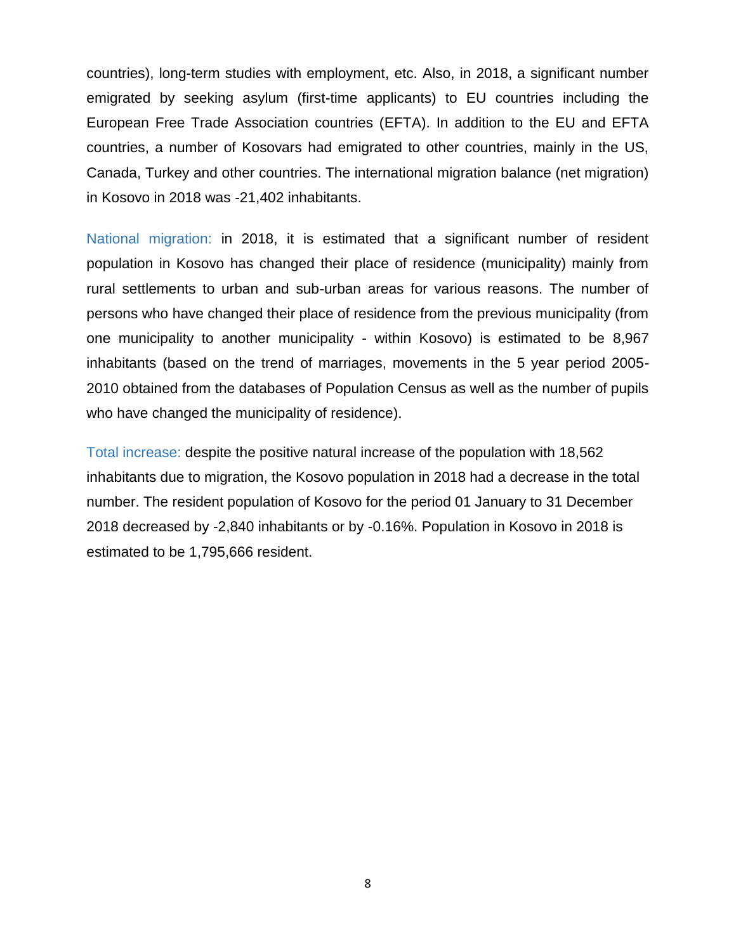countries), long-term studies with employment, etc. Also, in 2018, a significant number emigrated by seeking asylum (first-time applicants) to EU countries including the European Free Trade Association countries (EFTA). In addition to the EU and EFTA countries, a number of Kosovars had emigrated to other countries, mainly in the US, Canada, Turkey and other countries. The international migration balance (net migration) in Kosovo in 2018 was -21,402 inhabitants.

<span id="page-8-0"></span>National migration: in 2018, it is estimated that a significant number of resident population in Kosovo has changed their place of residence (municipality) mainly from rural settlements to urban and sub-urban areas for various reasons. The number of persons who have changed their place of residence from the previous municipality (from one municipality to another municipality - within Kosovo) is estimated to be 8,967 inhabitants (based on the trend of marriages, movements in the 5 year period 2005- 2010 obtained from the databases of Population Census as well as the number of pupils who have changed the municipality of residence).

<span id="page-8-1"></span>Total increase: despite the positive natural increase of the population with 18,562 inhabitants due to migration, the Kosovo population in 2018 had a decrease in the total number. The resident population of Kosovo for the period 01 January to 31 December 2018 decreased by -2,840 inhabitants or by -0.16%. Population in Kosovo in 2018 is estimated to be 1,795,666 resident.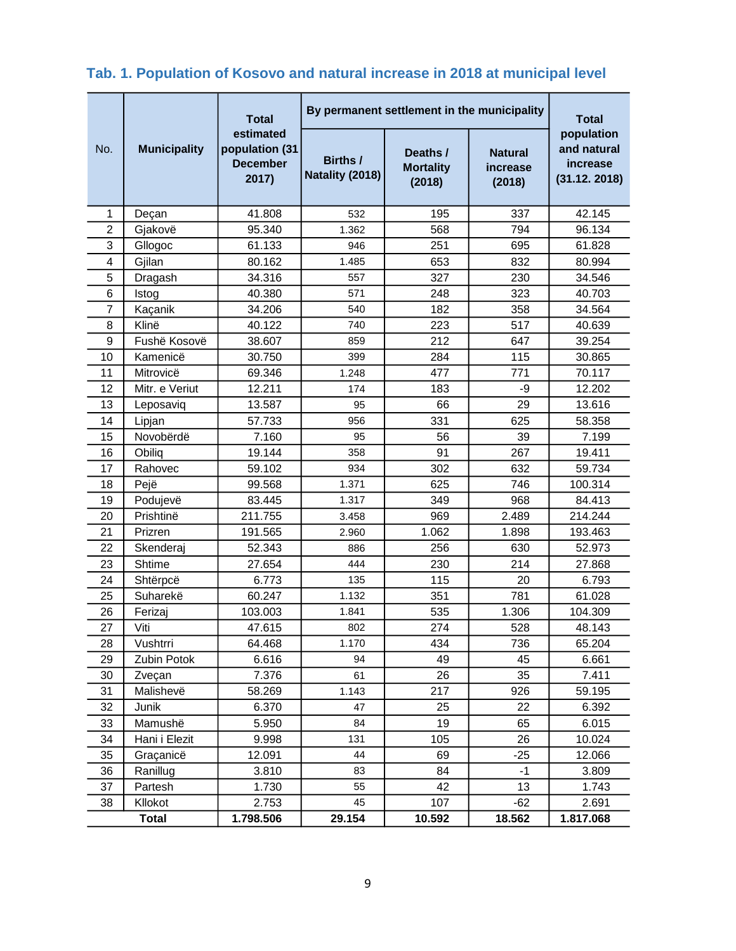## <span id="page-9-0"></span>**Tab. 1. Population of Kosovo and natural increase in 2018 at municipal level**

<span id="page-9-1"></span>

|                |                     | <b>Total</b>                                            | By permanent settlement in the municipality | <b>Total</b>                           |                                      |                                                       |
|----------------|---------------------|---------------------------------------------------------|---------------------------------------------|----------------------------------------|--------------------------------------|-------------------------------------------------------|
| No.            | <b>Municipality</b> | estimated<br>population (31<br><b>December</b><br>2017) | Births /<br>Natality (2018)                 | Deaths /<br><b>Mortality</b><br>(2018) | <b>Natural</b><br>increase<br>(2018) | population<br>and natural<br>increase<br>(31.12.2018) |
| 1              | Deçan               | 41.808                                                  | 532                                         | 195                                    | 337                                  | 42.145                                                |
| $\overline{2}$ | Gjakovë             | 95.340                                                  | 1.362                                       | 568                                    | 794                                  | 96.134                                                |
| 3              | Gllogoc             | 61.133                                                  | 946                                         | 251                                    | 695                                  | 61.828                                                |
| 4              | Gjilan              | 80.162                                                  | 1.485                                       | 653                                    | 832                                  | 80.994                                                |
| 5              | Dragash             | 34.316                                                  | 557                                         | 327                                    | 230                                  | 34.546                                                |
| 6              | Istog               | 40.380                                                  | 571                                         | 248                                    | 323                                  | 40.703                                                |
| 7              | Kaçanik             | 34.206                                                  | 540                                         | 182                                    | 358                                  | 34.564                                                |
| 8              | Klinë               | 40.122                                                  | 740                                         | 223                                    | 517                                  | 40.639                                                |
| 9              | Fushë Kosovë        | 38.607                                                  | 859                                         | 212                                    | 647                                  | 39.254                                                |
| 10             | Kamenicë            | 30.750                                                  | 399                                         | 284                                    | 115                                  | 30.865                                                |
| 11             | Mitrovicë           | 69.346                                                  | 1.248                                       | 477                                    | 771                                  | 70.117                                                |
| 12             | Mitr. e Veriut      | 12.211                                                  | 174                                         | 183                                    | -9                                   | 12.202                                                |
| 13             | Leposaviq           | 13.587                                                  | 95                                          | 66                                     | 29                                   | 13.616                                                |
| 14             | Lipjan              | 57.733                                                  | 956                                         | 331                                    | 625                                  | 58.358                                                |
| 15             | Novobërdë           | 7.160                                                   | 95                                          | 56                                     | 39                                   | 7.199                                                 |
| 16             | Obiliq              | 19.144                                                  | 358                                         | 91                                     | 267                                  | 19.411                                                |
| 17             | Rahovec             | 59.102                                                  | 934                                         | 302                                    | 632                                  | 59.734                                                |
| 18             | Pejë                | 99.568                                                  | 1.371                                       | 625                                    | 746                                  | 100.314                                               |
| 19             | Podujevë            | 83.445                                                  | 1.317                                       | 349                                    | 968                                  | 84.413                                                |
| 20             | Prishtinë           | 211.755                                                 | 3.458                                       | 969                                    | 2.489                                | 214.244                                               |
| 21             | Prizren             | 191.565                                                 | 2.960                                       | 1.062                                  | 1.898                                | 193.463                                               |
| 22             | Skenderaj           | 52.343                                                  | 886                                         | 256                                    | 630                                  | 52.973                                                |
| 23             | Shtime              | 27.654                                                  | 444                                         | 230                                    | 214                                  | 27.868                                                |
| 24             | Shtërpcë            | 6.773                                                   | 135                                         | 115                                    | 20                                   | 6.793                                                 |
| 25             | Suharekë            | 60.247                                                  | 1.132                                       | 351                                    | 781                                  | 61.028                                                |
| 26             | Ferizaj             | 103.003                                                 | 1.841                                       | 535                                    | 1.306                                | 104.309                                               |
| 27             | Viti                | 47.615                                                  | 802                                         | 274                                    | 528                                  | 48.143                                                |
| 28             | Vushtrri            | 64.468                                                  | 1.170                                       | 434                                    | 736                                  | 65.204                                                |
| 29             | Zubin Potok         | 6.616                                                   | 94                                          | 49                                     | 45                                   | 6.661                                                 |
| 30             | Zveçan              | 7.376                                                   | 61                                          | 26                                     | 35                                   | 7.411                                                 |
| 31             | Malishevë           | 58.269                                                  | 1.143                                       | 217                                    | 926                                  | 59.195                                                |
| 32             | Junik               | 6.370                                                   | 47                                          | 25                                     | 22                                   | 6.392                                                 |
| 33             | Mamushë             | 5.950                                                   | 84                                          | 19                                     | 65                                   | 6.015                                                 |
| 34             | Hani i Elezit       | 9.998                                                   | 131                                         | 105                                    | 26                                   | 10.024                                                |
| 35             | Graçanicë           | 12.091                                                  | 44                                          | 69                                     | $-25$                                | 12.066                                                |
| 36             | Ranillug            | 3.810                                                   | 83                                          | 84                                     | $-1$                                 | 3.809                                                 |
| 37             | Partesh             | 1.730                                                   | 55                                          | 42                                     | 13                                   | 1.743                                                 |
| 38             | Kllokot             | 2.753                                                   | 45                                          | 107                                    | $-62$                                | 2.691                                                 |
|                | <b>Total</b>        | 1.798.506                                               | 29.154                                      | 10.592                                 | 18.562                               | 1.817.068                                             |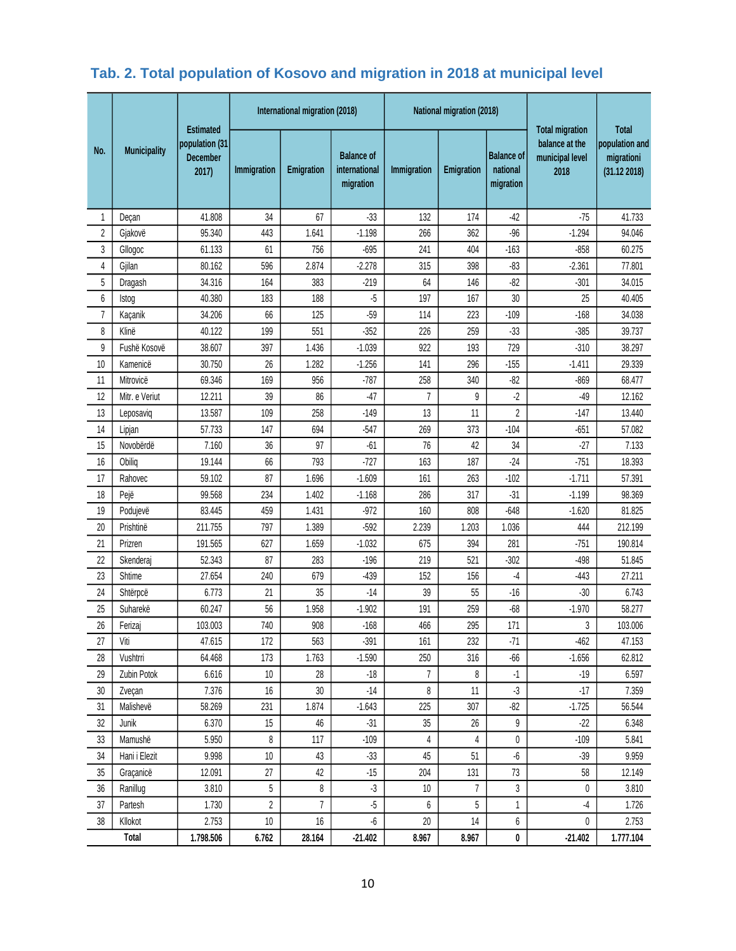## **Tab. 2. Total population of Kosovo and migration in 2018 at municipal level**

|                | <b>Municipality</b> | <b>Estimated</b><br>population (31<br><b>December</b><br>2017) | International migration (2018) |                   |                                                 | National migration (2018) |                |                                            | <b>Total migration</b>                    | <b>Total</b>                                |
|----------------|---------------------|----------------------------------------------------------------|--------------------------------|-------------------|-------------------------------------------------|---------------------------|----------------|--------------------------------------------|-------------------------------------------|---------------------------------------------|
| No.            |                     |                                                                | Immigration                    | <b>Emigration</b> | <b>Balance of</b><br>international<br>migration | Immigration               | Emigration     | <b>Balance of</b><br>national<br>migration | balance at the<br>municipal level<br>2018 | population and<br>migrationi<br>(31.122018) |
| 1              | Deçan               | 41.808                                                         | 34                             | 67                | $-33$                                           | 132                       | 174            | $-42$                                      | -75                                       | 41.733                                      |
| 2              | Gjakovë             | 95.340                                                         | 443                            | 1.641             | $-1.198$                                        | 266                       | 362            | $-96$                                      | $-1.294$                                  | 94.046                                      |
| 3              | Gllogoc             | 61.133                                                         | 61                             | 756               | $-695$                                          | 241                       | 404            | $-163$                                     | $-858$                                    | 60.275                                      |
| 4              | Gjilan              | 80.162                                                         | 596                            | 2.874             | $-2.278$                                        | 315                       | 398            | $-83$                                      | $-2.361$                                  | 77.801                                      |
| 5              | Dragash             | 34.316                                                         | 164                            | 383               | $-219$                                          | 64                        | 146            | $-82$                                      | $-301$                                    | 34.015                                      |
| 6              | Istog               | 40.380                                                         | 183                            | 188               | $-5$                                            | 197                       | 167            | 30                                         | 25                                        | 40.405                                      |
| $\overline{7}$ | Kaçanik             | 34.206                                                         | 66                             | 125               | $-59$                                           | 114                       | 223            | $-109$                                     | $-168$                                    | 34.038                                      |
| 8              | Klinë               | 40.122                                                         | 199                            | 551               | $-352$                                          | 226                       | 259            | $-33$                                      | $-385$                                    | 39.737                                      |
| 9              | Fushë Kosovë        | 38.607                                                         | 397                            | 1.436             | $-1.039$                                        | 922                       | 193            | 729                                        | $-310$                                    | 38.297                                      |
| 10             | Kamenicë            | 30.750                                                         | 26                             | 1.282             | $-1.256$                                        | 141                       | 296            | $-155$                                     | $-1.411$                                  | 29.339                                      |
| 11             | Mitrovicë           | 69.346                                                         | 169                            | 956               | $-787$                                          | 258                       | 340            | $-82$                                      | $-869$                                    | 68.477                                      |
| 12             | Mitr. e Veriut      | 12.211                                                         | 39                             | 86                | $-47$                                           | $\overline{7}$            | 9              | $-2$                                       | $-49$                                     | 12.162                                      |
| 13             | Leposaviq           | 13.587                                                         | 109                            | 258               | $-149$                                          | 13                        | 11             | $\overline{c}$                             | $-147$                                    | 13.440                                      |
| 14             | Lipjan              | 57.733                                                         | 147                            | 694               | $-547$                                          | 269                       | 373            | $-104$                                     | $-651$                                    | 57.082                                      |
| 15             | Novobërdë           | 7.160                                                          | 36                             | 97                | $-61$                                           | 76                        | 42             | 34                                         | $-27$                                     | 7.133                                       |
| 16             | Obilig              | 19.144                                                         | 66                             | 793               | $-727$                                          | 163                       | 187            | $-24$                                      | $-751$                                    | 18.393                                      |
| 17             | Rahovec             | 59.102                                                         | 87                             | 1.696             | $-1.609$                                        | 161                       | 263            | $-102$                                     | $-1.711$                                  | 57.391                                      |
| 18             | Pejë                | 99.568                                                         | 234                            | 1.402             | $-1.168$                                        | 286                       | 317            | $-31$                                      | $-1.199$                                  | 98.369                                      |
| 19             | Podujevë            | 83.445                                                         | 459                            | 1.431             | $-972$                                          | 160                       | 808            | $-648$                                     | $-1.620$                                  | 81.825                                      |
| 20             | Prishtinë           | 211.755                                                        | 797                            | 1.389             | $-592$                                          | 2.239                     | 1.203          | 1.036                                      | 444                                       | 212.199                                     |
| 21             | Prizren             | 191.565                                                        | 627                            | 1.659             | $-1.032$                                        | 675                       | 394            | 281                                        | $-751$                                    | 190.814                                     |
| 22             | Skenderaj           | 52.343                                                         | 87                             | 283               | $-196$                                          | 219                       | 521            | $-302$                                     | $-498$                                    | 51.845                                      |
| 23             | Shtime              | 27.654                                                         | 240                            | 679               | $-439$                                          | 152                       | 156            | -4                                         | $-443$                                    | 27.211                                      |
| 24             | Shtërpcë            | 6.773                                                          | 21                             | 35                | $-14$                                           | 39                        | 55             | $-16$                                      | $-30$                                     | 6.743                                       |
| 25             | Suharekë            | 60.247                                                         | 56                             | 1.958             | $-1.902$                                        | 191                       | 259            | $-68$                                      | $-1.970$                                  | 58.277                                      |
| 26             | Ferizaj             | 103.003                                                        | 740                            | 908               | $-168$                                          | 466                       | 295            | 171                                        | 3                                         | 103.006                                     |
| 27             | Viti                | 47.615                                                         | 172                            | 563               | $-391$                                          | 161                       | 232            | $-71$                                      | $-462$                                    | 47.153                                      |
| 28             | Vushtrri            | 64.468                                                         | 173                            | 1.763             | $-1.590$                                        | 250                       | 316            | $-66$                                      | $-1.656$                                  | 62.812                                      |
| 29             | Zubin Potok         | 6.616                                                          | 10                             | 28                | $-18$                                           | 7                         | 8              | $-1$                                       | $-19$                                     | 6.597                                       |
| $30\,$         | Zveçan              | 7.376                                                          | 16                             | 30                | $-14$                                           | 8                         | 11             | $-3$                                       | $-17$                                     | 7.359                                       |
| 31             | Malishevë           | 58.269                                                         | 231                            | 1.874             | $-1.643$                                        | 225                       | 307            | $-82$                                      | $-1.725$                                  | 56.544                                      |
| 32             | Junik               | 6.370                                                          | 15                             | 46                | $-31$                                           | 35                        | 26             | 9                                          | $-22$                                     | 6.348                                       |
| 33             | Mamushë             | 5.950                                                          | 8                              | 117               | $-109$                                          | 4                         | 4              | 0                                          | $-109$                                    | 5.841                                       |
| 34             | Hani i Elezit       | 9.998                                                          | $10\,$                         | 43                | $-33$                                           | 45                        | 51             | -6                                         | $-39$                                     | 9.959                                       |
| 35             | Graçanicë           | 12.091                                                         | 27                             | 42                | $-15$                                           | 204                       | 131            | 73                                         | 58                                        | 12.149                                      |
| 36             | Ranillug            | 3.810                                                          | $\sqrt{5}$                     | 8                 | $-3$                                            | 10                        | $\overline{7}$ | 3                                          | 0                                         | 3.810                                       |
| 37             | Partesh             | 1.730                                                          | $\boldsymbol{2}$               | $\overline{7}$    | $-5$                                            | 6                         | 5              | 1                                          | -4                                        | 1.726                                       |
| 38             | Kllokot             | 2.753                                                          | $10\,$                         | 16                | $\text{-}6$                                     | $20\,$                    | 14             | 6                                          | 0                                         | 2.753                                       |
|                | Total               | 1.798.506                                                      | 6.762                          | 28.164            | $-21.402$                                       | 8.967                     | 8.967          | 0                                          | $-21.402$                                 | 1.777.104                                   |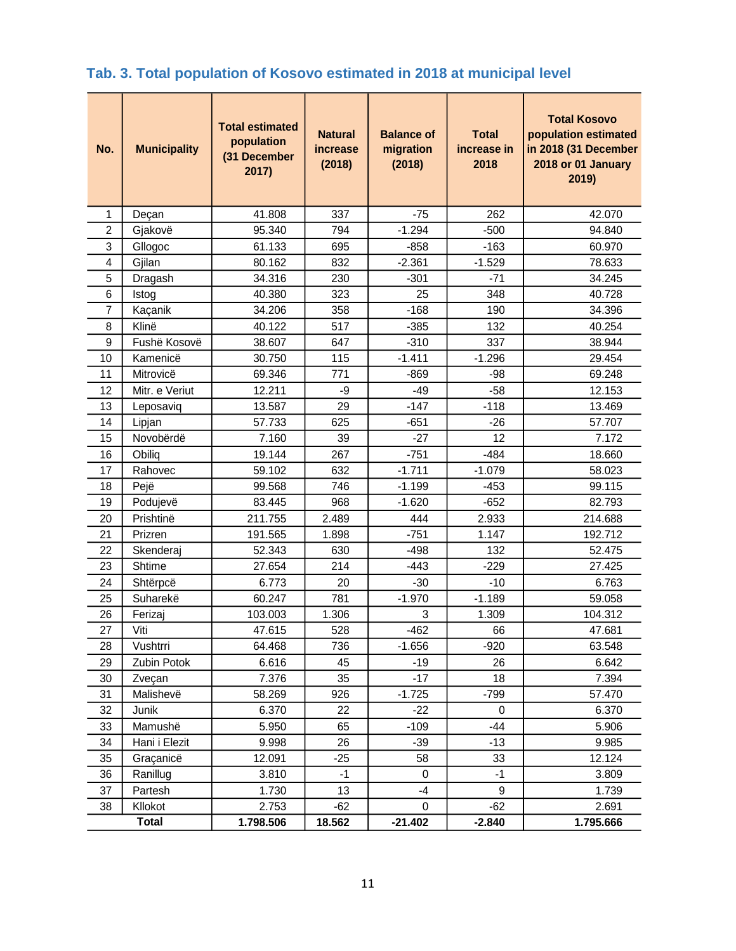## <span id="page-11-0"></span>**Tab. 3. Total population of Kosovo estimated in 2018 at municipal level**

| No.            | <b>Municipality</b> | <b>Total estimated</b><br>population<br>(31 December<br>2017) | <b>Natural</b><br>increase<br>(2018) | <b>Balance of</b><br>migration<br>(2018) | <b>Total</b><br>increase in<br>2018 | <b>Total Kosovo</b><br>population estimated<br>in 2018 (31 December<br>2018 or 01 January<br>2019) |
|----------------|---------------------|---------------------------------------------------------------|--------------------------------------|------------------------------------------|-------------------------------------|----------------------------------------------------------------------------------------------------|
| 1              | Deçan               | 41.808                                                        | 337                                  | $-75$                                    | 262                                 | 42.070                                                                                             |
| $\overline{2}$ | Gjakovë             | 95.340                                                        | 794                                  | $-1.294$                                 | $-500$                              | 94.840                                                                                             |
| 3              | Gllogoc             | 61.133                                                        | 695                                  | $-858$                                   | $-163$                              | 60.970                                                                                             |
| 4              | Gjilan              | 80.162                                                        | 832                                  | $-2.361$                                 | $-1.529$                            | 78.633                                                                                             |
| 5              | Dragash             | 34.316                                                        | 230                                  | $-301$                                   | $-71$                               | 34.245                                                                                             |
| 6              | Istog               | 40.380                                                        | 323                                  | 25                                       | 348                                 | 40.728                                                                                             |
| $\overline{7}$ | Kaçanik             | 34.206                                                        | 358                                  | $-168$                                   | 190                                 | 34.396                                                                                             |
| 8              | Klinë               | 40.122                                                        | 517                                  | $-385$                                   | 132                                 | 40.254                                                                                             |
| 9              | Fushë Kosovë        | 38.607                                                        | 647                                  | $-310$                                   | 337                                 | 38.944                                                                                             |
| 10             | Kamenicë            | 30.750                                                        | 115                                  | $-1.411$                                 | $-1.296$                            | 29.454                                                                                             |
| 11             | Mitrovicë           | 69.346                                                        | 771                                  | $-869$                                   | -98                                 | 69.248                                                                                             |
| 12             | Mitr. e Veriut      | 12.211                                                        | -9                                   | $-49$                                    | $-58$                               | 12.153                                                                                             |
| 13             | Leposaviq           | 13.587                                                        | 29                                   | $-147$                                   | $-118$                              | 13.469                                                                                             |
| 14             | Lipjan              | 57.733                                                        | 625                                  | $-651$                                   | $-26$                               | 57.707                                                                                             |
| 15             | Novobërdë           | 7.160                                                         | 39                                   | $-27$                                    | 12                                  | 7.172                                                                                              |
| 16             | Obiliq              | 19.144                                                        | 267                                  | $-751$                                   | $-484$                              | 18.660                                                                                             |
| 17             | Rahovec             | 59.102                                                        | 632                                  | $-1.711$                                 | $-1.079$                            | 58.023                                                                                             |
| 18             | Pejë                | 99.568                                                        | 746                                  | $-1.199$                                 | $-453$                              | 99.115                                                                                             |
| 19             | Podujevë            | 83.445                                                        | 968                                  | $-1.620$                                 | $-652$                              | 82.793                                                                                             |
| 20             | Prishtinë           | 211.755                                                       | 2.489                                | 444                                      | 2.933                               | 214.688                                                                                            |
| 21             | Prizren             | 191.565                                                       | 1.898                                | $-751$                                   | 1.147                               | 192.712                                                                                            |
| 22             | Skenderaj           | 52.343                                                        | 630                                  | $-498$                                   | 132                                 | 52.475                                                                                             |
| 23             | Shtime              | 27.654                                                        | 214                                  | $-443$                                   | $-229$                              | 27.425                                                                                             |
| 24             | Shtërpcë            | 6.773                                                         | 20                                   | $-30$                                    | $-10$                               | 6.763                                                                                              |
| 25             | Suharekë            | 60.247                                                        | 781                                  | $-1.970$                                 | $-1.189$                            | 59.058                                                                                             |
| 26             | Ferizaj             | 103.003                                                       | 1.306                                | 3                                        | 1.309                               | 104.312                                                                                            |
| 27             | Viti                | 47.615                                                        | 528                                  | $-462$                                   | 66                                  | 47.681                                                                                             |
| 28             | Vushtrri            | 64.468                                                        | 736                                  | $-1.656$                                 | $-920$                              | 63.548                                                                                             |
| 29             | Zubin Potok         | 6.616                                                         | 45                                   | $-19$                                    | 26                                  | 6.642                                                                                              |
| 30             | Zveçan              | 7.376                                                         | 35                                   | $-17$                                    | 18                                  | 7.394                                                                                              |
| 31             | Malishevë           | 58.269                                                        | 926                                  | $-1.725$                                 | $-799$                              | 57.470                                                                                             |
| 32             | Junik               | 6.370                                                         | 22                                   | $-22$                                    | 0                                   | 6.370                                                                                              |
| 33             | Mamushë             | 5.950                                                         | 65                                   | $-109$                                   | $-44$                               | 5.906                                                                                              |
| 34             | Hani i Elezit       | 9.998                                                         | 26                                   | $-39$                                    | $-13$                               | 9.985                                                                                              |
| 35             | Graçanicë           | 12.091                                                        | $-25$                                | 58                                       | 33                                  | 12.124                                                                                             |
| 36             | Ranillug            | 3.810                                                         | $-1$                                 | 0                                        | $-1$                                | 3.809                                                                                              |
| 37             | Partesh             | 1.730                                                         | 13                                   | $-4$                                     | 9                                   | 1.739                                                                                              |
| 38             | Kllokot             | 2.753                                                         | -62                                  | 0                                        | $-62$                               | 2.691                                                                                              |
| <b>Total</b>   |                     | 1.798.506                                                     | 18.562                               | $-21.402$                                | $-2.840$                            | 1.795.666                                                                                          |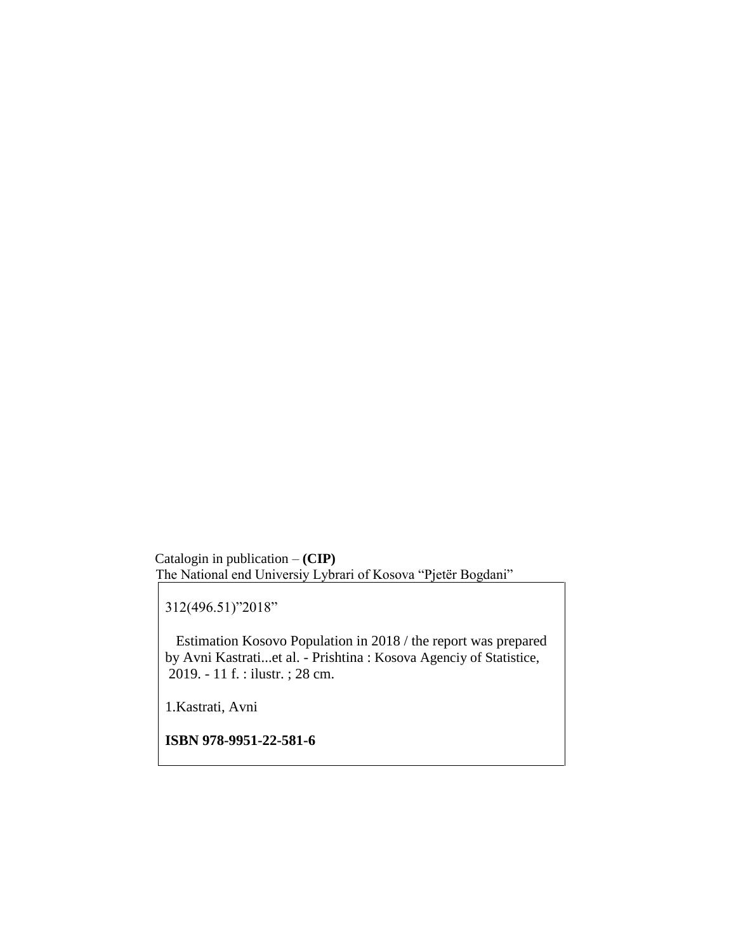Catalogin in publication – **(CIP)**  The National end Universiy Lybrari of Kosova "Pjetër Bogdani"

312(496.51)"2018"

 Estimation Kosovo Population in 2018 / the report was prepared by Avni Kastrati...et al. - Prishtina : Kosova Agenciy of Statistice, 2019. - 11 f. : ilustr. ; 28 cm.

1.Kastrati, Avni

**ISBN 978-9951-22-581-6**